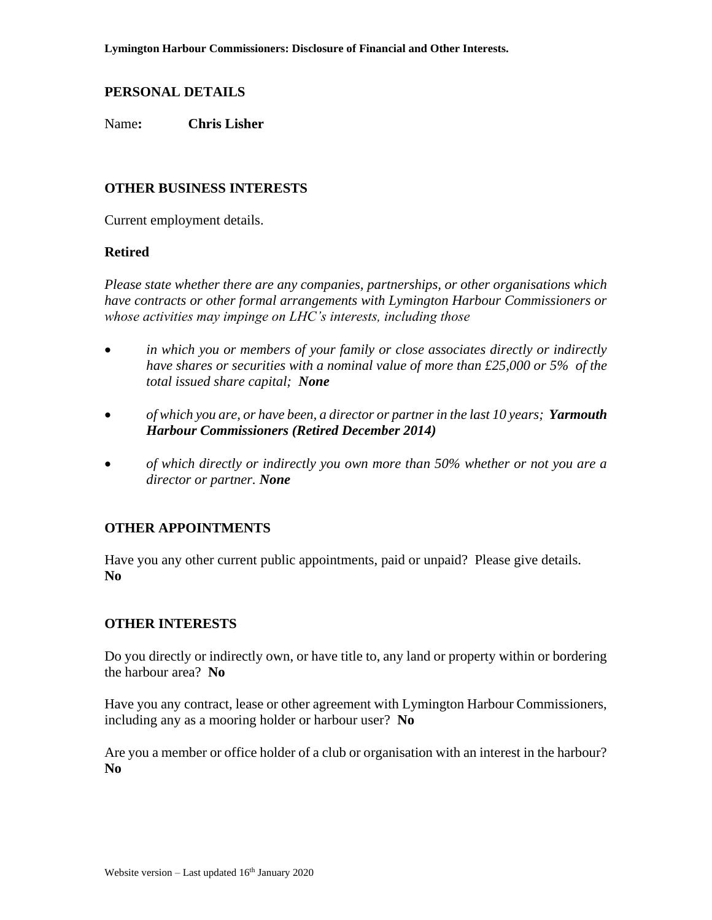Name**: Chris Lisher**

### **OTHER BUSINESS INTERESTS**

Current employment details.

#### **Retired**

*Please state whether there are any companies, partnerships, or other organisations which have contracts or other formal arrangements with Lymington Harbour Commissioners or whose activities may impinge on LHC's interests, including those* 

- *in which you or members of your family or close associates directly or indirectly have shares or securities with a nominal value of more than £25,000 or 5% of the total issued share capital; None*
- *of which you are, or have been, a director or partnerin the last 10 years; Yarmouth Harbour Commissioners (Retired December 2014)*
- *of which directly or indirectly you own more than 50% whether or not you are a director or partner. None*

#### **OTHER APPOINTMENTS**

Have you any other current public appointments, paid or unpaid? Please give details. **No**

#### **OTHER INTERESTS**

Do you directly or indirectly own, or have title to, any land or property within or bordering the harbour area? **No**

Have you any contract, lease or other agreement with Lymington Harbour Commissioners, including any as a mooring holder or harbour user? **No**

Are you a member or office holder of a club or organisation with an interest in the harbour? **No**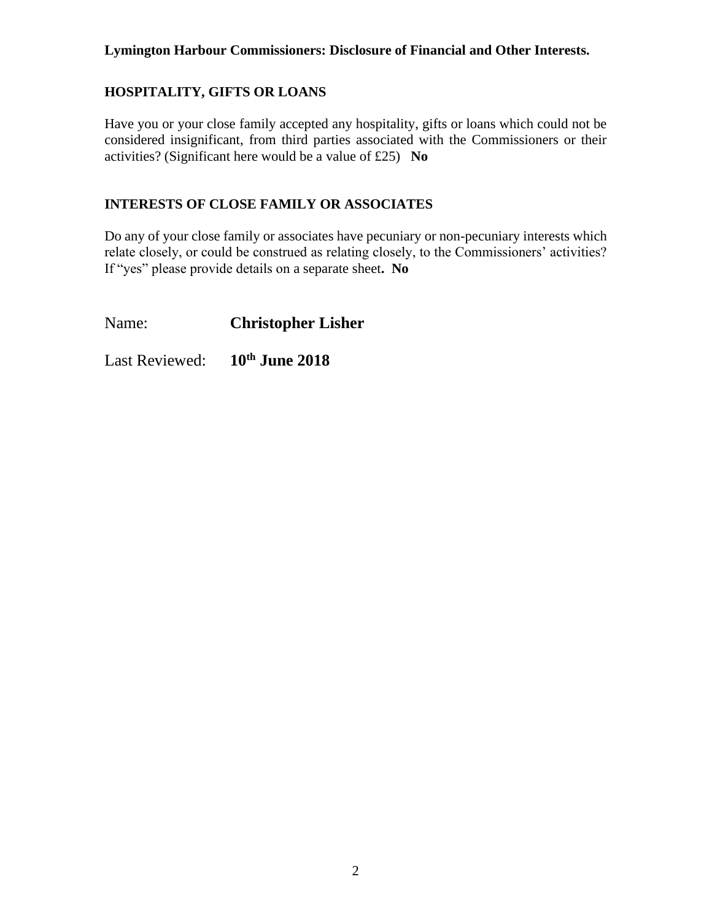# **HOSPITALITY, GIFTS OR LOANS**

Have you or your close family accepted any hospitality, gifts or loans which could not be considered insignificant, from third parties associated with the Commissioners or their activities? (Significant here would be a value of £25) **No**

### **INTERESTS OF CLOSE FAMILY OR ASSOCIATES**

Do any of your close family or associates have pecuniary or non-pecuniary interests which relate closely, or could be construed as relating closely, to the Commissioners' activities? If "yes" please provide details on a separate sheet**. No**

Name: **Christopher Lisher**

Last Reviewed: **10th June 2018**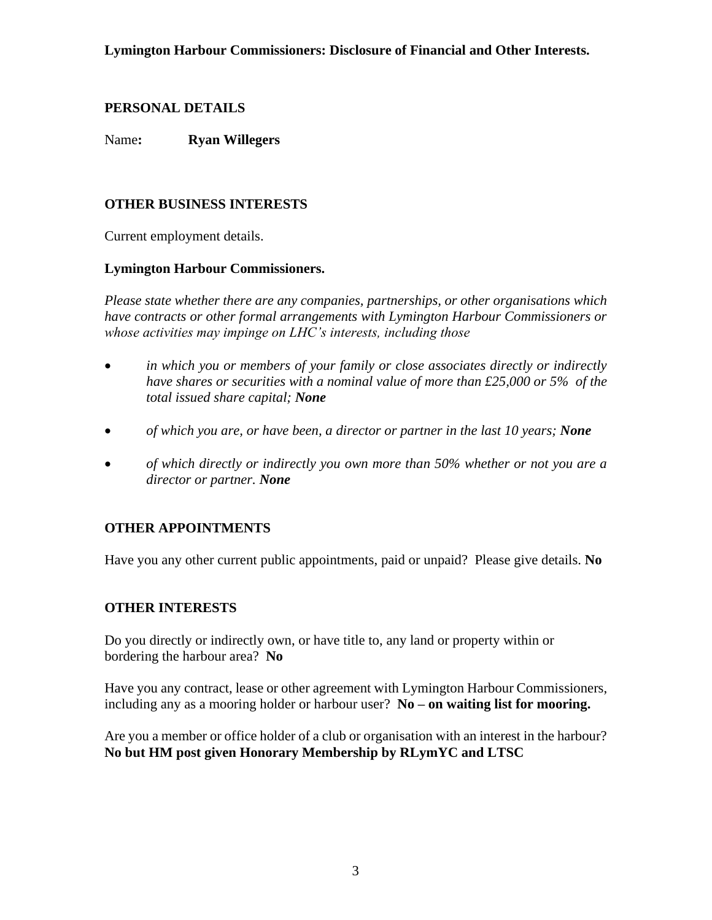Name**: Ryan Willegers**

# **OTHER BUSINESS INTERESTS**

Current employment details.

## **Lymington Harbour Commissioners.**

*Please state whether there are any companies, partnerships, or other organisations which have contracts or other formal arrangements with Lymington Harbour Commissioners or whose activities may impinge on LHC's interests, including those* 

- *in which you or members of your family or close associates directly or indirectly have shares or securities with a nominal value of more than £25,000 or 5% of the total issued share capital; None*
- *of which you are, or have been, a director or partner in the last 10 years; None*
- *of which directly or indirectly you own more than 50% whether or not you are a director or partner. None*

# **OTHER APPOINTMENTS**

Have you any other current public appointments, paid or unpaid? Please give details. **No**

## **OTHER INTERESTS**

Do you directly or indirectly own, or have title to, any land or property within or bordering the harbour area? **No**

Have you any contract, lease or other agreement with Lymington Harbour Commissioners, including any as a mooring holder or harbour user? **No – on waiting list for mooring.** 

Are you a member or office holder of a club or organisation with an interest in the harbour? **No but HM post given Honorary Membership by RLymYC and LTSC**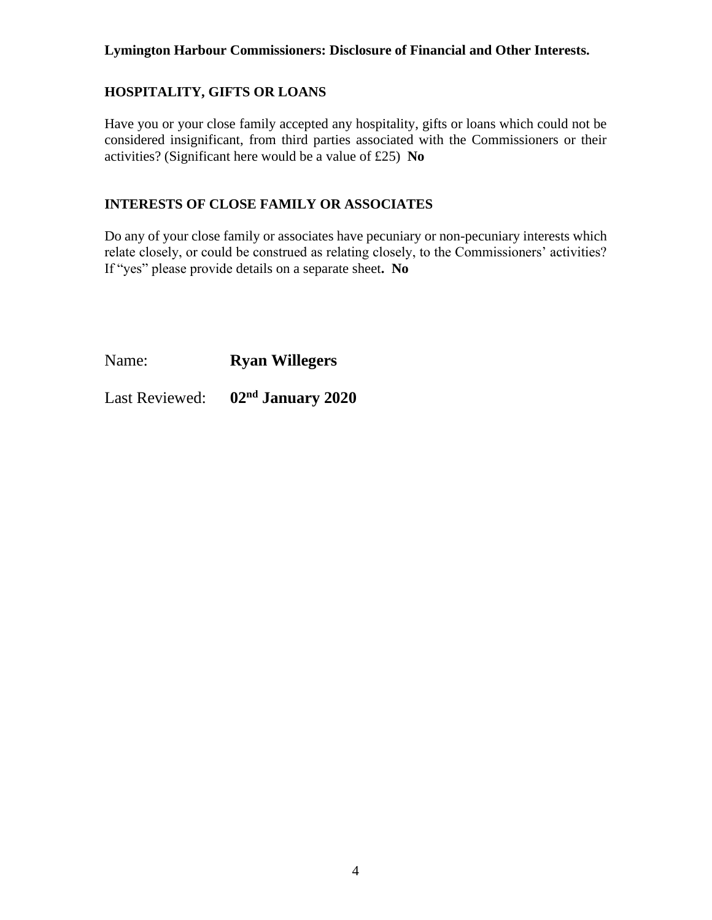# **HOSPITALITY, GIFTS OR LOANS**

Have you or your close family accepted any hospitality, gifts or loans which could not be considered insignificant, from third parties associated with the Commissioners or their activities? (Significant here would be a value of £25) **No**

### **INTERESTS OF CLOSE FAMILY OR ASSOCIATES**

Do any of your close family or associates have pecuniary or non-pecuniary interests which relate closely, or could be construed as relating closely, to the Commissioners' activities? If "yes" please provide details on a separate sheet**. No**

Name: **Ryan Willegers**

Last Reviewed: **02nd January 2020**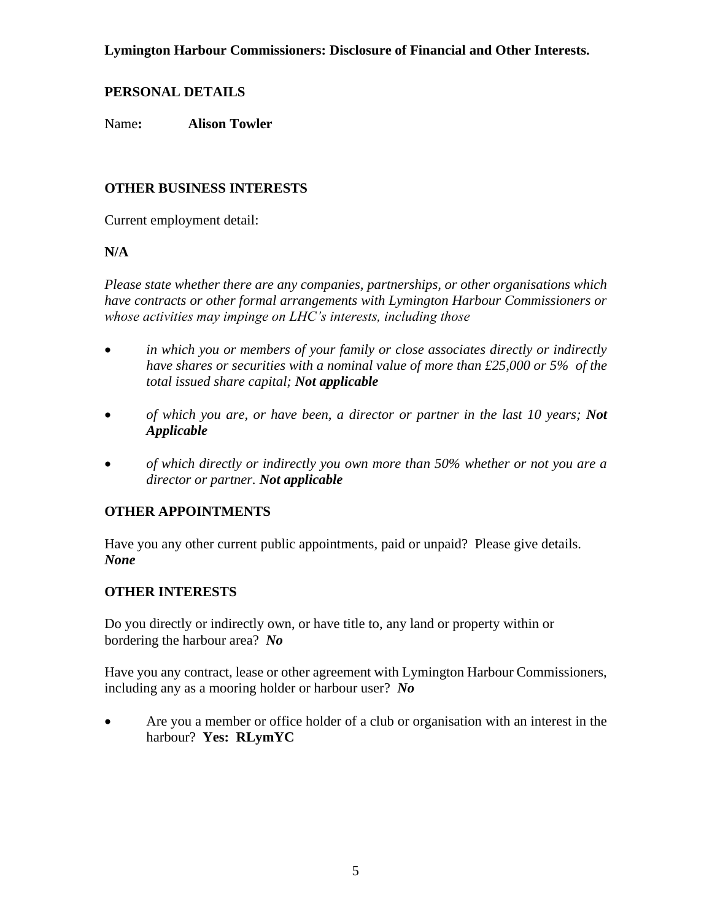### **PERSONAL DETAILS**

Name**: Alison Towler**

### **OTHER BUSINESS INTERESTS**

Current employment detail:

#### **N/A**

*Please state whether there are any companies, partnerships, or other organisations which have contracts or other formal arrangements with Lymington Harbour Commissioners or whose activities may impinge on LHC's interests, including those* 

- *in which you or members of your family or close associates directly or indirectly have shares or securities with a nominal value of more than £25,000 or 5% of the total issued share capital; Not applicable*
- *of which you are, or have been, a director or partner in the last 10 years; Not Applicable*
- *of which directly or indirectly you own more than 50% whether or not you are a director or partner. Not applicable*

#### **OTHER APPOINTMENTS**

Have you any other current public appointments, paid or unpaid? Please give details. *None*

#### **OTHER INTERESTS**

Do you directly or indirectly own, or have title to, any land or property within or bordering the harbour area? *No*

Have you any contract, lease or other agreement with Lymington Harbour Commissioners, including any as a mooring holder or harbour user? *No*

• Are you a member or office holder of a club or organisation with an interest in the harbour? **Yes: RLymYC**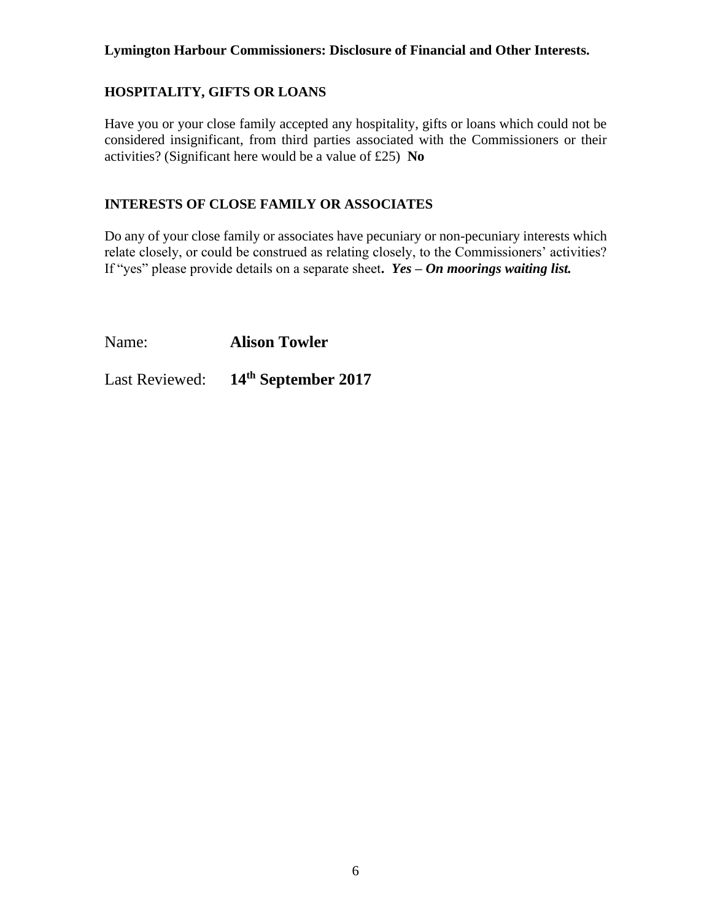## **HOSPITALITY, GIFTS OR LOANS**

Have you or your close family accepted any hospitality, gifts or loans which could not be considered insignificant, from third parties associated with the Commissioners or their activities? (Significant here would be a value of £25) **No**

### **INTERESTS OF CLOSE FAMILY OR ASSOCIATES**

Do any of your close family or associates have pecuniary or non-pecuniary interests which relate closely, or could be construed as relating closely, to the Commissioners' activities? If "yes" please provide details on a separate sheet**.** *Yes – On moorings waiting list.*

Name: **Alison Towler**

Last Reviewed: **14th September 2017**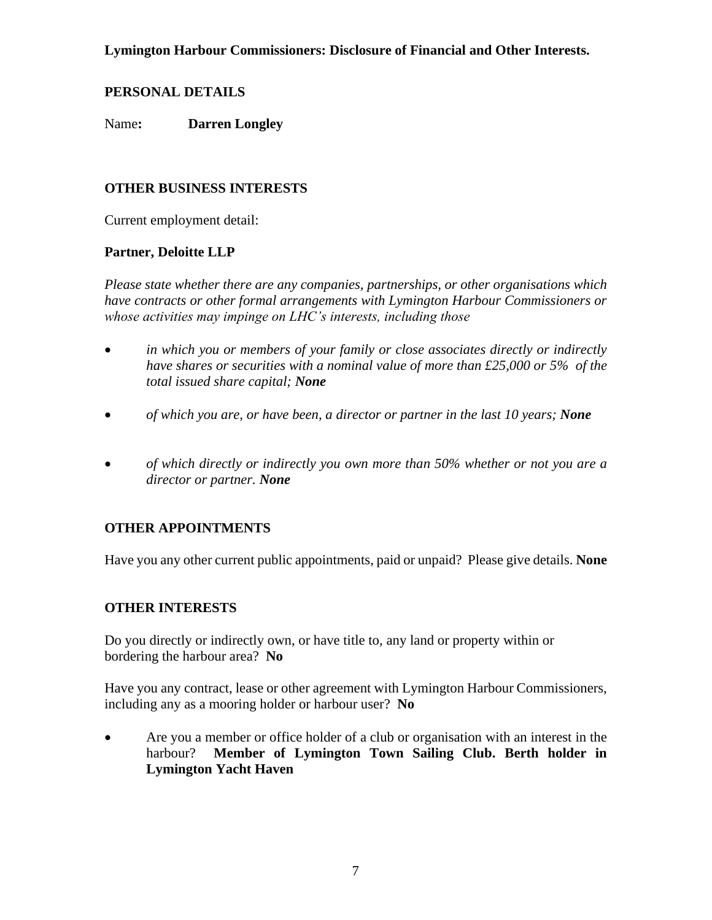### **PERSONAL DETAILS**

Name**: Darren Longley**

### **OTHER BUSINESS INTERESTS**

Current employment detail:

#### **Partner, Deloitte LLP**

*Please state whether there are any companies, partnerships, or other organisations which have contracts or other formal arrangements with Lymington Harbour Commissioners or whose activities may impinge on LHC's interests, including those* 

- *in which you or members of your family or close associates directly or indirectly have shares or securities with a nominal value of more than £25,000 or 5% of the total issued share capital; None*
- *of which you are, or have been, a director or partner in the last 10 years; None*
- *of which directly or indirectly you own more than 50% whether or not you are a director or partner. None*

## **OTHER APPOINTMENTS**

Have you any other current public appointments, paid or unpaid? Please give details. **None**

#### **OTHER INTERESTS**

Do you directly or indirectly own, or have title to, any land or property within or bordering the harbour area? **No**

Have you any contract, lease or other agreement with Lymington Harbour Commissioners, including any as a mooring holder or harbour user? **No**

• Are you a member or office holder of a club or organisation with an interest in the harbour? **Member of Lymington Town Sailing Club. Berth holder in Lymington Yacht Haven**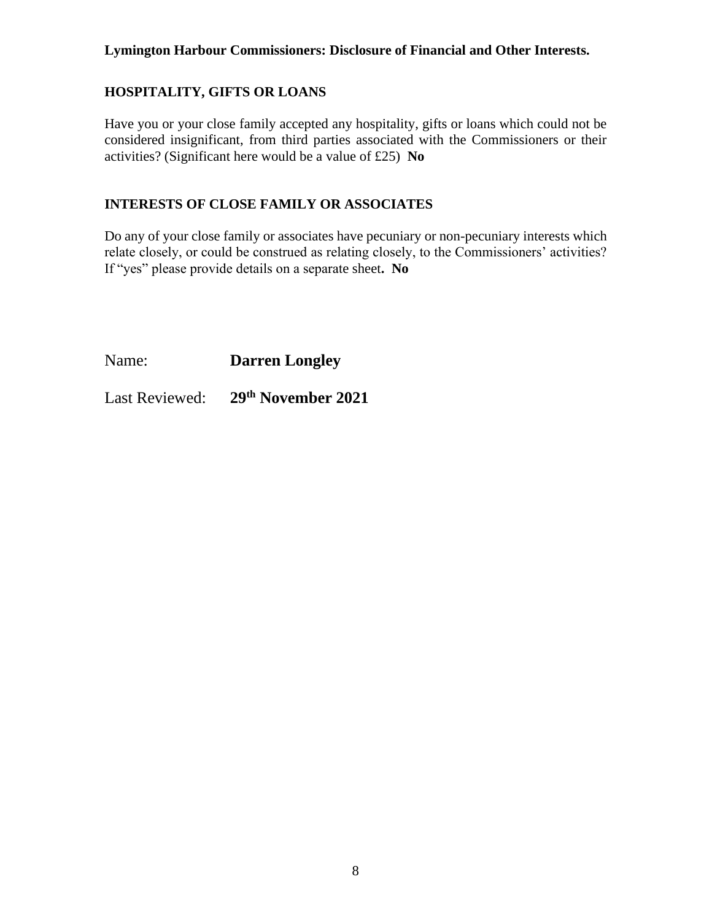# **HOSPITALITY, GIFTS OR LOANS**

Have you or your close family accepted any hospitality, gifts or loans which could not be considered insignificant, from third parties associated with the Commissioners or their activities? (Significant here would be a value of £25) **No**

### **INTERESTS OF CLOSE FAMILY OR ASSOCIATES**

Do any of your close family or associates have pecuniary or non-pecuniary interests which relate closely, or could be construed as relating closely, to the Commissioners' activities? If "yes" please provide details on a separate sheet**. No**

Name: **Darren Longley**

Last Reviewed: **29th November 2021**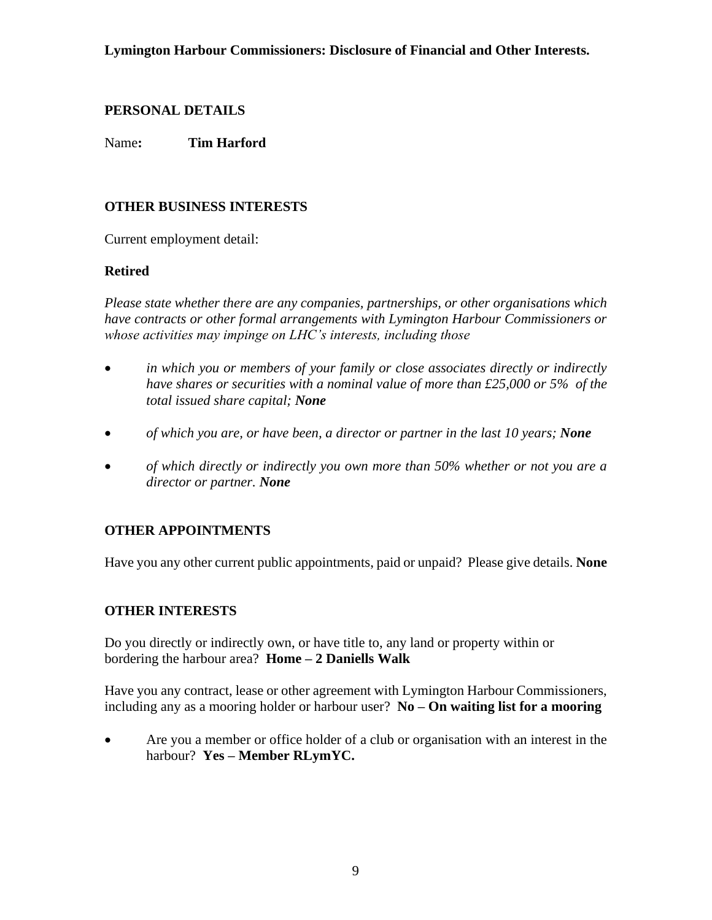Name**: Tim Harford**

# **OTHER BUSINESS INTERESTS**

Current employment detail:

# **Retired**

*Please state whether there are any companies, partnerships, or other organisations which have contracts or other formal arrangements with Lymington Harbour Commissioners or whose activities may impinge on LHC's interests, including those* 

- *in which you or members of your family or close associates directly or indirectly have shares or securities with a nominal value of more than £25,000 or 5% of the total issued share capital; None*
- *of which you are, or have been, a director or partner in the last 10 years; None*
- *of which directly or indirectly you own more than 50% whether or not you are a director or partner. None*

# **OTHER APPOINTMENTS**

Have you any other current public appointments, paid or unpaid? Please give details. **None**

## **OTHER INTERESTS**

Do you directly or indirectly own, or have title to, any land or property within or bordering the harbour area? **Home – 2 Daniells Walk**

Have you any contract, lease or other agreement with Lymington Harbour Commissioners, including any as a mooring holder or harbour user? **No – On waiting list for a mooring**

• Are you a member or office holder of a club or organisation with an interest in the harbour? **Yes – Member RLymYC.**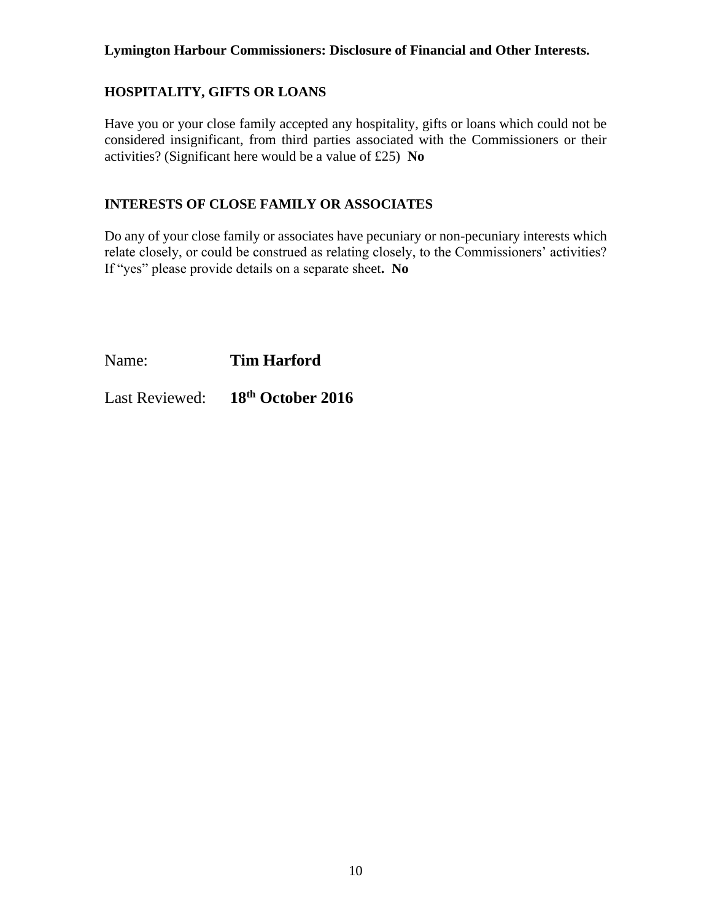# **HOSPITALITY, GIFTS OR LOANS**

Have you or your close family accepted any hospitality, gifts or loans which could not be considered insignificant, from third parties associated with the Commissioners or their activities? (Significant here would be a value of £25) **No**

### **INTERESTS OF CLOSE FAMILY OR ASSOCIATES**

Do any of your close family or associates have pecuniary or non-pecuniary interests which relate closely, or could be construed as relating closely, to the Commissioners' activities? If "yes" please provide details on a separate sheet**. No**

Name: **Tim Harford**

Last Reviewed: **18th October 2016**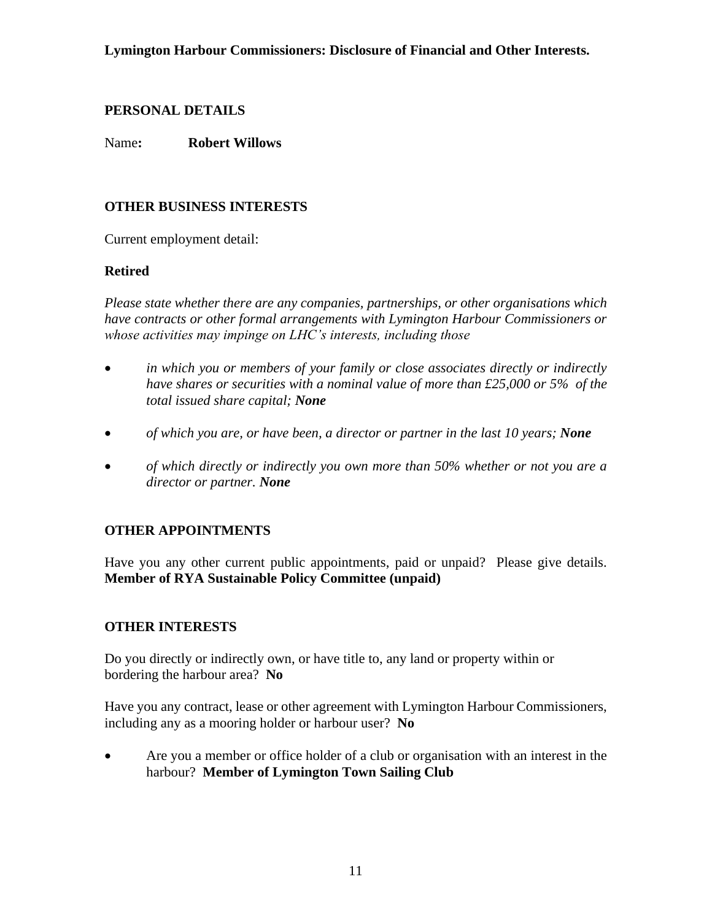Name**: Robert Willows**

# **OTHER BUSINESS INTERESTS**

Current employment detail:

## **Retired**

*Please state whether there are any companies, partnerships, or other organisations which have contracts or other formal arrangements with Lymington Harbour Commissioners or whose activities may impinge on LHC's interests, including those* 

- *in which you or members of your family or close associates directly or indirectly have shares or securities with a nominal value of more than £25,000 or 5% of the total issued share capital; None*
- *of which you are, or have been, a director or partner in the last 10 years; None*
- *of which directly or indirectly you own more than 50% whether or not you are a director or partner. None*

# **OTHER APPOINTMENTS**

Have you any other current public appointments, paid or unpaid? Please give details. **Member of RYA Sustainable Policy Committee (unpaid)**

## **OTHER INTERESTS**

Do you directly or indirectly own, or have title to, any land or property within or bordering the harbour area? **No**

Have you any contract, lease or other agreement with Lymington Harbour Commissioners, including any as a mooring holder or harbour user? **No**

• Are you a member or office holder of a club or organisation with an interest in the harbour? **Member of Lymington Town Sailing Club**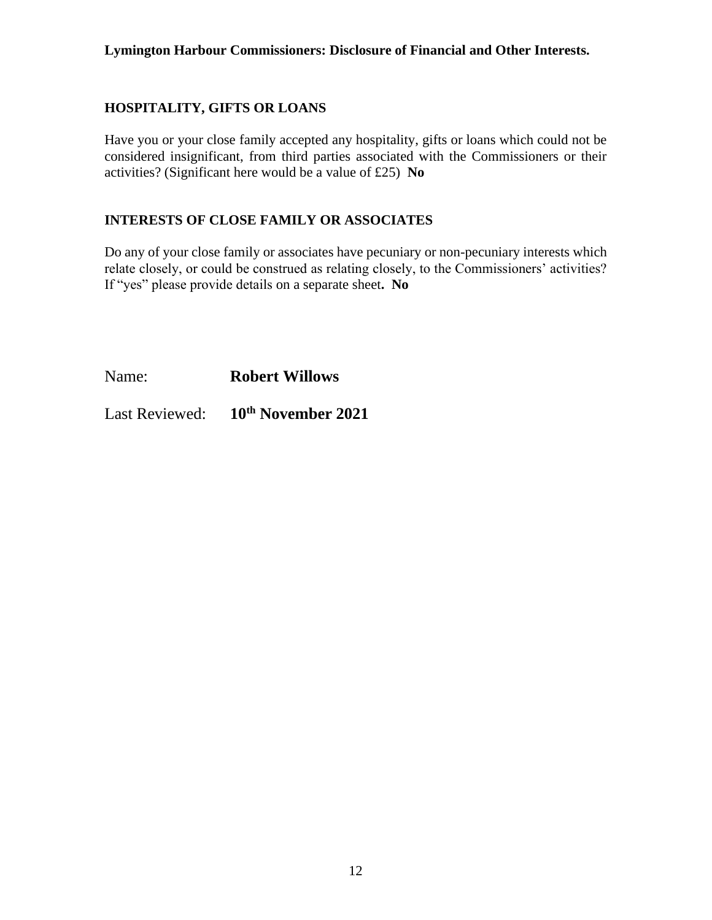### **HOSPITALITY, GIFTS OR LOANS**

Have you or your close family accepted any hospitality, gifts or loans which could not be considered insignificant, from third parties associated with the Commissioners or their activities? (Significant here would be a value of £25) **No**

### **INTERESTS OF CLOSE FAMILY OR ASSOCIATES**

Do any of your close family or associates have pecuniary or non-pecuniary interests which relate closely, or could be construed as relating closely, to the Commissioners' activities? If "yes" please provide details on a separate sheet**. No**

Name: **Robert Willows**

Last Reviewed: **10th November 2021**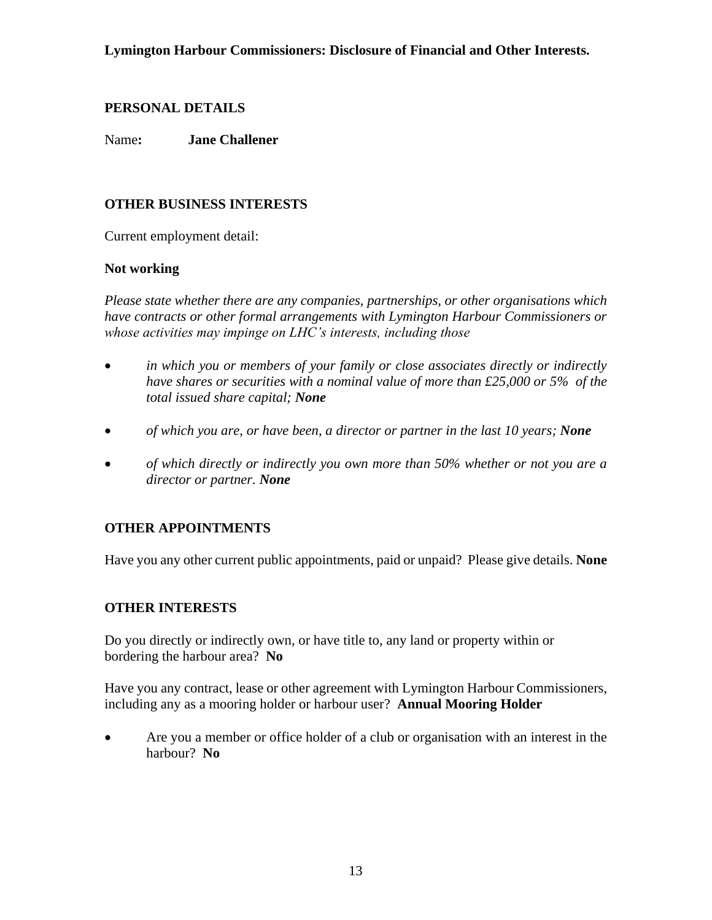Name**: Jane Challener**

# **OTHER BUSINESS INTERESTS**

Current employment detail:

## **Not working**

*Please state whether there are any companies, partnerships, or other organisations which have contracts or other formal arrangements with Lymington Harbour Commissioners or whose activities may impinge on LHC's interests, including those* 

- *in which you or members of your family or close associates directly or indirectly have shares or securities with a nominal value of more than £25,000 or 5% of the total issued share capital; None*
- *of which you are, or have been, a director or partner in the last 10 years; None*
- *of which directly or indirectly you own more than 50% whether or not you are a director or partner. None*

# **OTHER APPOINTMENTS**

Have you any other current public appointments, paid or unpaid? Please give details. **None**

## **OTHER INTERESTS**

Do you directly or indirectly own, or have title to, any land or property within or bordering the harbour area? **No**

Have you any contract, lease or other agreement with Lymington Harbour Commissioners, including any as a mooring holder or harbour user? **Annual Mooring Holder**

• Are you a member or office holder of a club or organisation with an interest in the harbour? **No**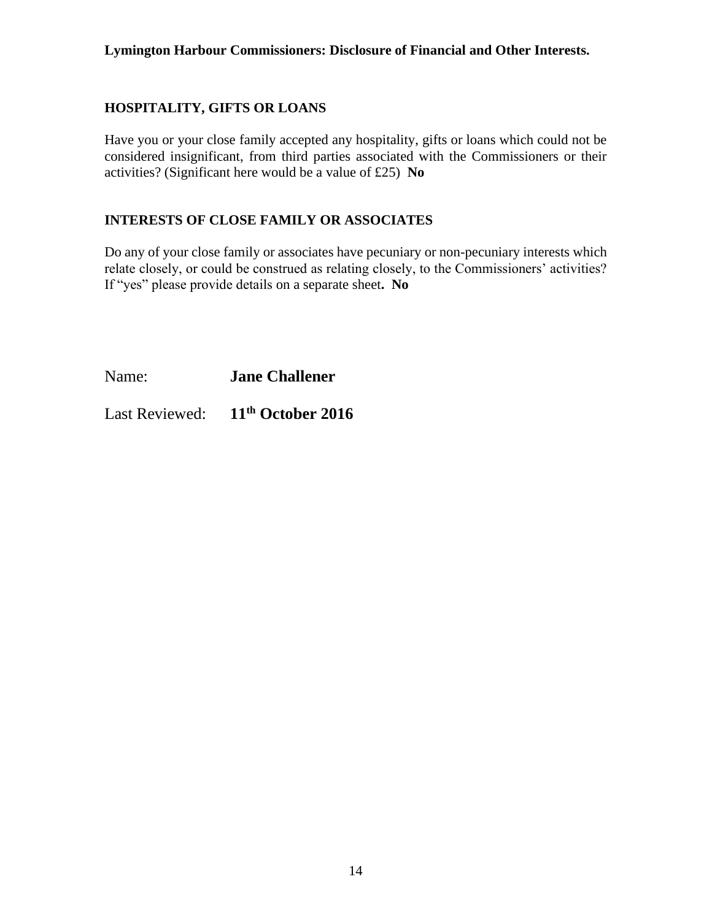### **HOSPITALITY, GIFTS OR LOANS**

Have you or your close family accepted any hospitality, gifts or loans which could not be considered insignificant, from third parties associated with the Commissioners or their activities? (Significant here would be a value of £25) **No**

### **INTERESTS OF CLOSE FAMILY OR ASSOCIATES**

Do any of your close family or associates have pecuniary or non-pecuniary interests which relate closely, or could be construed as relating closely, to the Commissioners' activities? If "yes" please provide details on a separate sheet**. No**

Name: **Jane Challener**

Last Reviewed: **11th October 2016**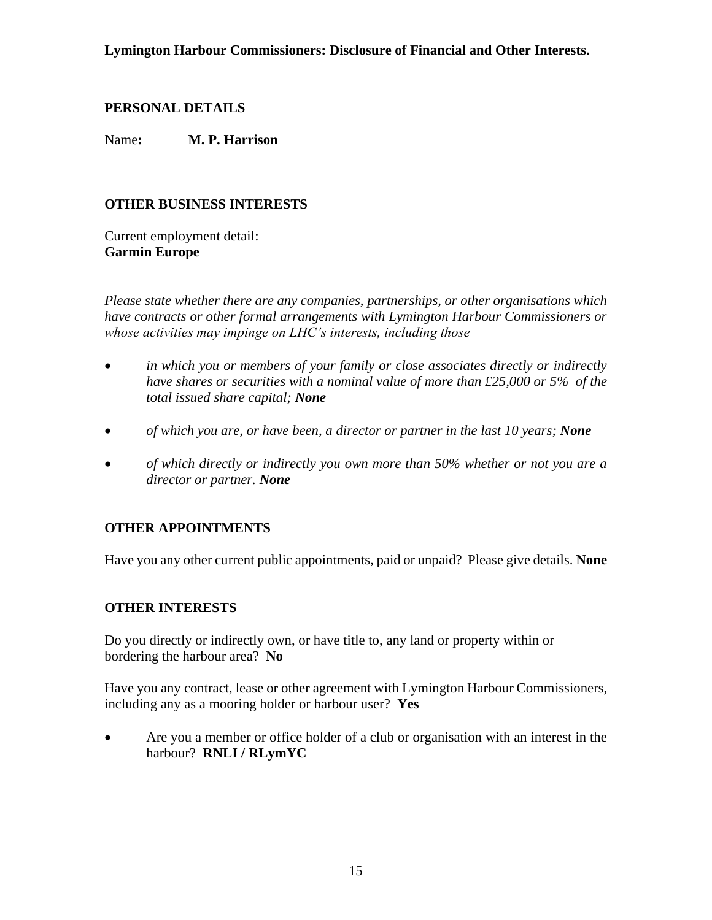Name**: M. P. Harrison**

### **OTHER BUSINESS INTERESTS**

Current employment detail: **Garmin Europe**

*Please state whether there are any companies, partnerships, or other organisations which have contracts or other formal arrangements with Lymington Harbour Commissioners or whose activities may impinge on LHC's interests, including those* 

- *in which you or members of your family or close associates directly or indirectly have shares or securities with a nominal value of more than £25,000 or 5% of the total issued share capital; None*
- *of which you are, or have been, a director or partner in the last 10 years; None*
- *of which directly or indirectly you own more than 50% whether or not you are a director or partner. None*

## **OTHER APPOINTMENTS**

Have you any other current public appointments, paid or unpaid? Please give details. **None**

#### **OTHER INTERESTS**

Do you directly or indirectly own, or have title to, any land or property within or bordering the harbour area? **No**

Have you any contract, lease or other agreement with Lymington Harbour Commissioners, including any as a mooring holder or harbour user? **Yes**

• Are you a member or office holder of a club or organisation with an interest in the harbour? **RNLI / RLymYC**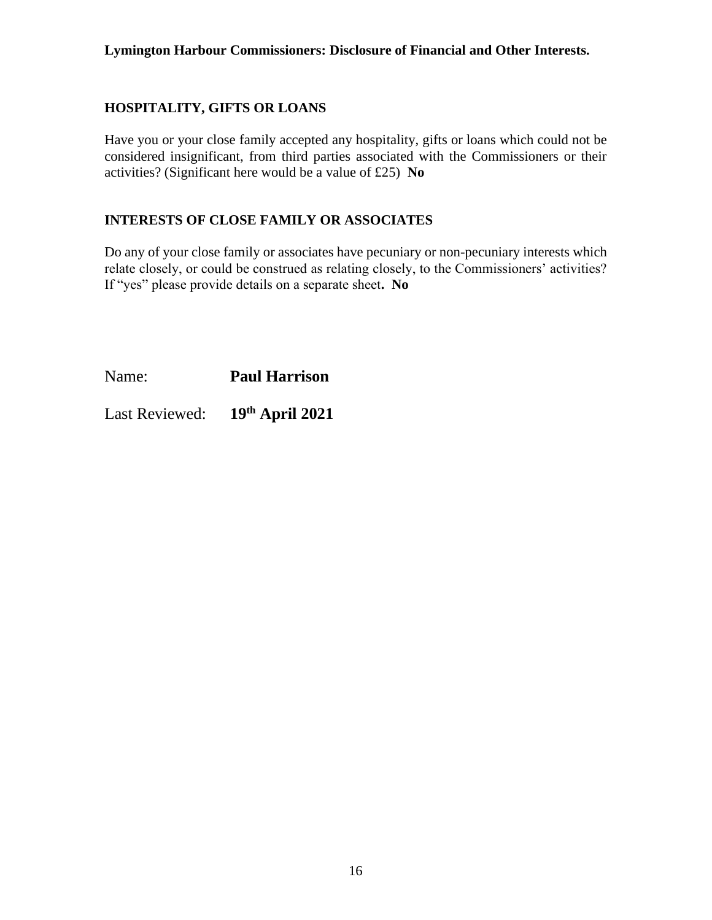### **HOSPITALITY, GIFTS OR LOANS**

Have you or your close family accepted any hospitality, gifts or loans which could not be considered insignificant, from third parties associated with the Commissioners or their activities? (Significant here would be a value of £25) **No**

### **INTERESTS OF CLOSE FAMILY OR ASSOCIATES**

Do any of your close family or associates have pecuniary or non-pecuniary interests which relate closely, or could be construed as relating closely, to the Commissioners' activities? If "yes" please provide details on a separate sheet**. No**

Name: **Paul Harrison**

Last Reviewed: **th April 2021**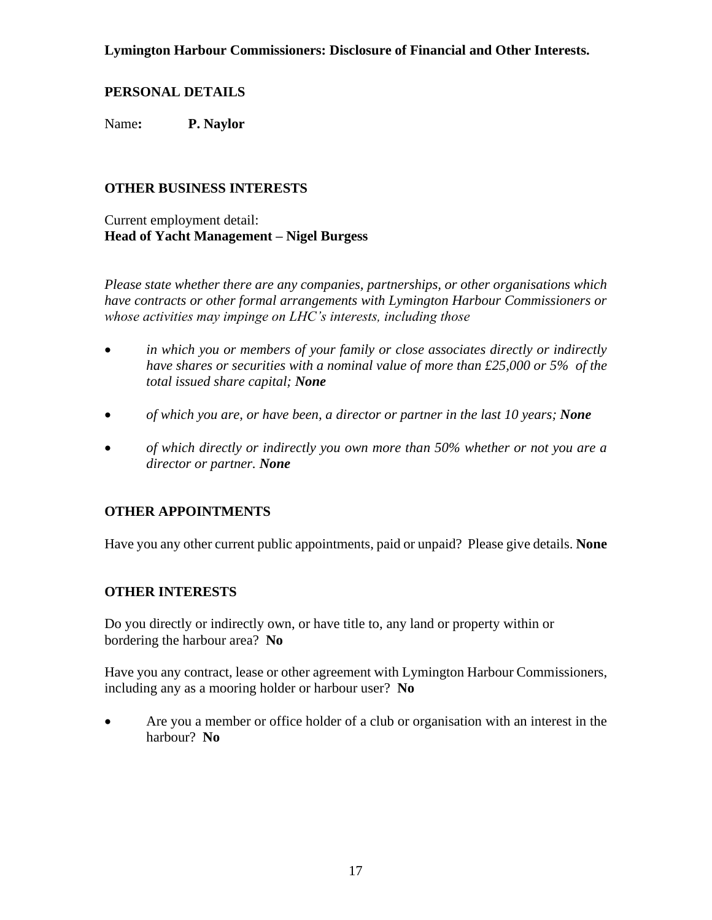### **PERSONAL DETAILS**

Name**: P. Naylor**

### **OTHER BUSINESS INTERESTS**

Current employment detail: **Head of Yacht Management – Nigel Burgess**

*Please state whether there are any companies, partnerships, or other organisations which have contracts or other formal arrangements with Lymington Harbour Commissioners or whose activities may impinge on LHC's interests, including those* 

- *in which you or members of your family or close associates directly or indirectly have shares or securities with a nominal value of more than £25,000 or 5% of the total issued share capital; None*
- *of which you are, or have been, a director or partner in the last 10 years; None*
- *of which directly or indirectly you own more than 50% whether or not you are a director or partner. None*

## **OTHER APPOINTMENTS**

Have you any other current public appointments, paid or unpaid? Please give details. **None**

#### **OTHER INTERESTS**

Do you directly or indirectly own, or have title to, any land or property within or bordering the harbour area? **No**

Have you any contract, lease or other agreement with Lymington Harbour Commissioners, including any as a mooring holder or harbour user? **No**

• Are you a member or office holder of a club or organisation with an interest in the harbour? **No**